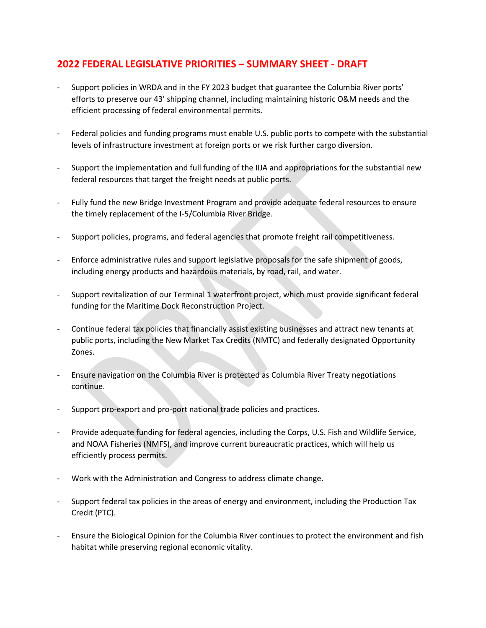## **2022 FEDERAL LEGISLATIVE PRIORITIES – SUMMARY SHEET - DRAFT**

- Support policies in WRDA and in the FY 2023 budget that guarantee the Columbia River ports' efforts to preserve our 43' shipping channel, including maintaining historic O&M needs and the efficient processing of federal environmental permits.
- Federal policies and funding programs must enable U.S. public ports to compete with the substantial levels of infrastructure investment at foreign ports or we risk further cargo diversion.
- Support the implementation and full funding of the IIJA and appropriations for the substantial new federal resources that target the freight needs at public ports.
- Fully fund the new Bridge Investment Program and provide adequate federal resources to ensure the timely replacement of the I-5/Columbia River Bridge.
- Support policies, programs, and federal agencies that promote freight rail competitiveness.
- Enforce administrative rules and support legislative proposals for the safe shipment of goods, including energy products and hazardous materials, by road, rail, and water.
- Support revitalization of our Terminal 1 waterfront project, which must provide significant federal funding for the Maritime Dock Reconstruction Project.
- Continue federal tax policies that financially assist existing businesses and attract new tenants at public ports, including the New Market Tax Credits (NMTC) and federally designated Opportunity Zones.
- Ensure navigation on the Columbia River is protected as Columbia River Treaty negotiations continue.
- Support pro-export and pro-port national trade policies and practices.
- Provide adequate funding for federal agencies, including the Corps, U.S. Fish and Wildlife Service, and NOAA Fisheries (NMFS), and improve current bureaucratic practices, which will help us efficiently process permits.
- Work with the Administration and Congress to address climate change.
- Support federal tax policies in the areas of energy and environment, including the Production Tax Credit (PTC).
- Ensure the Biological Opinion for the Columbia River continues to protect the environment and fish habitat while preserving regional economic vitality.